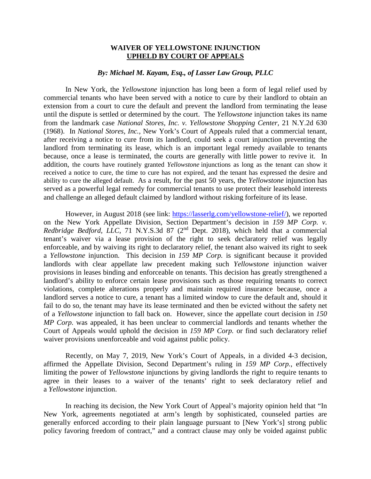## **WAIVER OF YELLOWSTONE INJUNCTION UPHELD BY COURT OF APPEALS**

## *By: Michael M. Kayam, Esq., of Lasser Law Group, PLLC*

In New York, the *Yellowstone* injunction has long been a form of legal relief used by commercial tenants who have been served with a notice to cure by their landlord to obtain an extension from a court to cure the default and prevent the landlord from terminating the lease until the dispute is settled or determined by the court. The *Yellowstone* injunction takes its name from the landmark case *National Stores, Inc. v. Yellowstone Shopping Center,* 21 N.Y.2d 630 (1968). In *National Stores, Inc.,* New York's Court of Appeals ruled that a commercial tenant, after receiving a notice to cure from its landlord, could seek a court injunction preventing the landlord from terminating its lease, which is an important legal remedy available to tenants because, once a lease is terminated, the courts are generally with little power to revive it. In addition, the courts have routinely granted *Yellowstone* injunctions as long as the tenant can show it received a notice to cure, the time to cure has not expired, and the tenant has expressed the desire and ability to cure the alleged default. As a result, for the past 50 years, the *Yellowstone* injunction has served as a powerful legal remedy for commercial tenants to use protect their leasehold interests and challenge an alleged default claimed by landlord without risking forfeiture of its lease.

However, in August 2018 (see link: [https://lasserlg.com/yellowstone-relief/\)](https://lasserlg.com/yellowstone-relief/), we reported on the New York Appellate Division, Section Department's decision in *159 MP Corp. v. Redbridge Bedford, LLC,* 71 N.Y.S.3d 87 (2<sup>nd</sup> Dept. 2018), which held that a commercial tenant's waiver via a lease provision of the right to seek declaratory relief was legally enforceable, and by waiving its right to declaratory relief, the tenant also waived its right to seek a *Yellowstone* injunction. This decision in *159 MP Corp.* is significant because it provided landlords with clear appellate law precedent making such *Yellowstone* injunction waiver provisions in leases binding and enforceable on tenants. This decision has greatly strengthened a landlord's ability to enforce certain lease provisions such as those requiring tenants to correct violations, complete alterations properly and maintain required insurance because, once a landlord serves a notice to cure, a tenant has a limited window to cure the default and, should it fail to do so, the tenant may have its lease terminated and then be evicted without the safety net of a *Yellowstone* injunction to fall back on. However, since the appellate court decision in *150 MP Corp.* was appealed, it has been unclear to commercial landlords and tenants whether the Court of Appeals would uphold the decision in *159 MP Corp.* or find such declaratory relief waiver provisions unenforceable and void against public policy.

Recently, on May 7, 2019, New York's Court of Appeals, in a divided 4-3 decision, affirmed the Appellate Division, Second Department's ruling in *159 MP Corp.*, effectively limiting the power of *Yellowstone* injunctions by giving landlords the right to require tenants to agree in their leases to a waiver of the tenants' right to seek declaratory relief and a *Yellowstone* injunction.

In reaching its decision, the New York Court of Appeal's majority opinion held that "In New York, agreements negotiated at arm's length by sophisticated, counseled parties are generally enforced according to their plain language pursuant to [New York's] strong public policy favoring freedom of contract," and a contract clause may only be voided against public